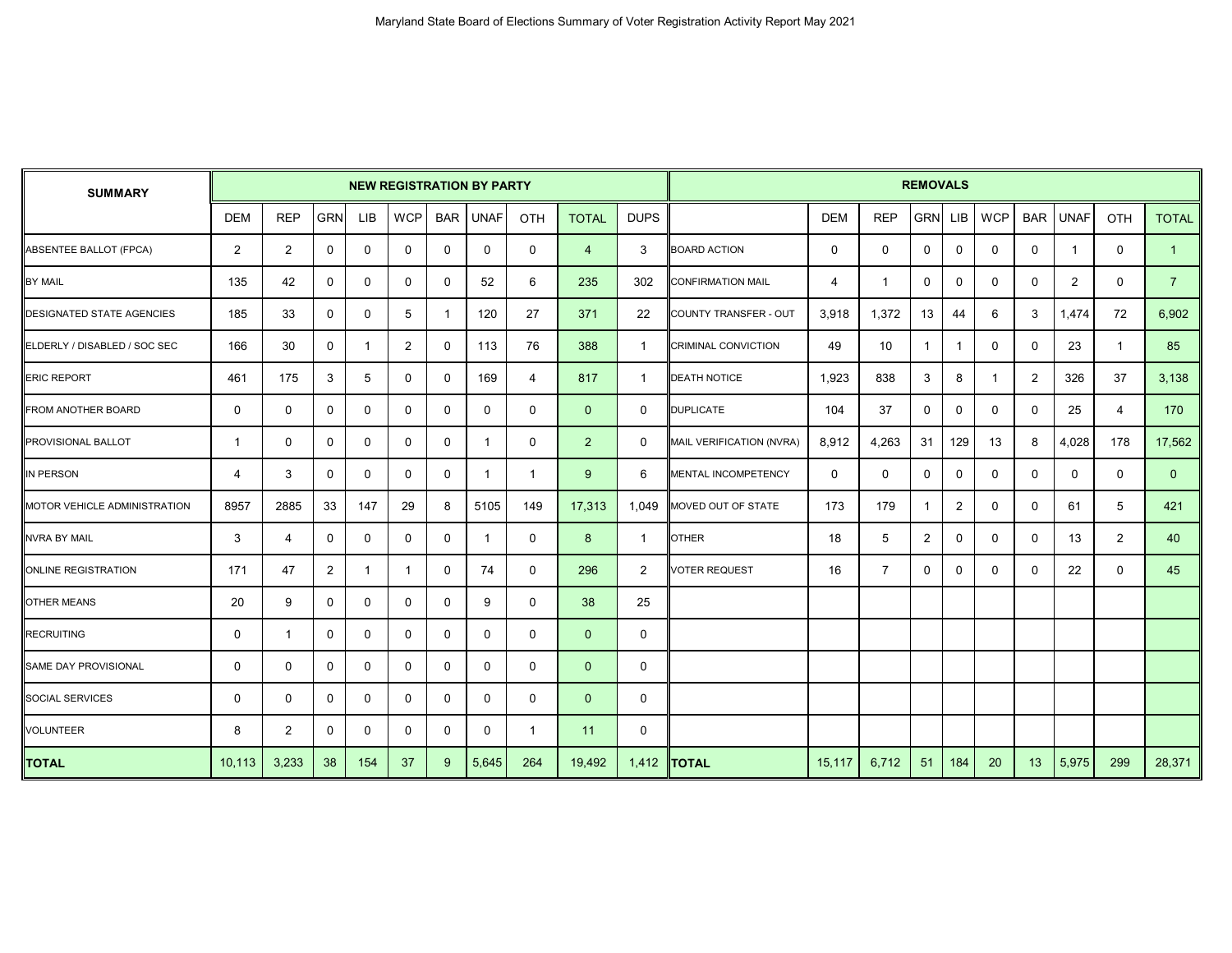| <b>SUMMARY</b>                   |                |                |                | <b>NEW REGISTRATION BY PARTY</b> |              |            |              |                |                |                | <b>REMOVALS</b>              |             |                |                |                |            |                |                |             |                |
|----------------------------------|----------------|----------------|----------------|----------------------------------|--------------|------------|--------------|----------------|----------------|----------------|------------------------------|-------------|----------------|----------------|----------------|------------|----------------|----------------|-------------|----------------|
|                                  | <b>DEM</b>     | <b>REP</b>     | <b>GRN</b>     | <b>LIB</b>                       | <b>WCP</b>   | <b>BAR</b> | <b>UNAF</b>  | <b>OTH</b>     | <b>TOTAL</b>   | <b>DUPS</b>    |                              | <b>DEM</b>  | <b>REP</b>     | <b>GRN</b>     | <b>LIB</b>     | <b>WCP</b> | <b>BAR</b>     | <b>UNAF</b>    | OTH         | <b>TOTAL</b>   |
| <b>ABSENTEE BALLOT (FPCA)</b>    | $\overline{2}$ | 2              | $\mathbf 0$    | 0                                | $\mathbf 0$  | $\Omega$   | $\mathbf 0$  | $\mathbf 0$    | $\overline{4}$ | 3              | <b>BOARD ACTION</b>          | $\mathbf 0$ | $\mathbf 0$    | $\mathbf 0$    | $\mathbf 0$    | 0          | $\mathbf 0$    | $\mathbf 1$    | $\mathbf 0$ | $\overline{1}$ |
| <b>BY MAIL</b>                   | 135            | 42             | $\mathbf 0$    | 0                                | $\mathbf 0$  | $\Omega$   | 52           | 6              | 235            | 302            | <b>CONFIRMATION MAIL</b>     | 4           | $\mathbf{1}$   | $\mathbf 0$    | $\mathbf 0$    | 0          | $\mathbf 0$    | $\overline{2}$ | $\mathbf 0$ | $\overline{7}$ |
| <b>DESIGNATED STATE AGENCIES</b> | 185            | 33             | 0              | 0                                | 5            | -1         | 120          | 27             | 371            | 22             | <b>COUNTY TRANSFER - OUT</b> | 3,918       | 1,372          | 13             | 44             | 6          | 3              | 1,474          | 72          | 6,902          |
| ELDERLY / DISABLED / SOC SEC     | 166            | 30             | 0              |                                  | 2            | $\Omega$   | 113          | 76             | 388            | $\overline{1}$ | <b>CRIMINAL CONVICTION</b>   | 49          | 10             | $\mathbf{1}$   | $\mathbf{1}$   | 0          | 0              | 23             | 1           | 85             |
| <b>ERIC REPORT</b>               | 461            | 175            | 3              | 5                                | $\mathbf 0$  | $\Omega$   | 169          | $\overline{4}$ | 817            | -1             | <b>DEATH NOTICE</b>          | 1,923       | 838            | 3              | 8              | -1         | $\overline{2}$ | 326            | 37          | 3,138          |
| FROM ANOTHER BOARD               | 0              | 0              | 0              | 0                                | 0            | $\Omega$   | 0            | $\mathbf 0$    | $\mathbf{0}$   | 0              | <b>DUPLICATE</b>             | 104         | 37             | 0              | 0              | 0          | $\mathbf 0$    | 25             | 4           | 170            |
| PROVISIONAL BALLOT               | -1             | 0              | 0              | 0                                | 0            | $\Omega$   | -1           | 0              | $\overline{2}$ | 0              | MAIL VERIFICATION (NVRA)     | 8,912       | 4,263          | 31             | 129            | 13         | 8              | 4,028          | 178         | 17,562         |
| IN PERSON                        | 4              | 3              | $\mathbf 0$    | 0                                | 0            | $\Omega$   | -1           | $\mathbf{1}$   | 9              | 6              | MENTAL INCOMPETENCY          | 0           | 0              | $\mathbf 0$    | 0              | 0          | $\mathbf 0$    | 0              | 0           | $\overline{0}$ |
| MOTOR VEHICLE ADMINISTRATION     | 8957           | 2885           | 33             | 147                              | 29           | 8          | 5105         | 149            | 17,313         | 1,049          | MOVED OUT OF STATE           | 173         | 179            | $\mathbf{1}$   | $\overline{2}$ | 0          | $\mathbf 0$    | 61             | 5           | 421            |
| <b>NVRA BY MAIL</b>              | 3              | $\overline{4}$ | 0              | 0                                | 0            | $\Omega$   | $\mathbf{1}$ | 0              | 8              | $\overline{1}$ | <b>OTHER</b>                 | 18          | 5              | $\overline{2}$ | 0              | 0          | 0              | 13             | 2           | 40             |
| <b>ONLINE REGISTRATION</b>       | 171            | 47             | $\overline{2}$ | -1                               | $\mathbf{1}$ | $\Omega$   | 74           | $\mathbf 0$    | 296            | $\overline{2}$ | <b>VOTER REQUEST</b>         | 16          | $\overline{7}$ | $\Omega$       | $\mathbf 0$    | $\Omega$   | $\mathbf{0}$   | 22             | $\mathbf 0$ | 45             |
| OTHER MEANS                      | 20             | 9              | 0              | 0                                | 0            | $\Omega$   | 9            | $\mathbf 0$    | 38             | 25             |                              |             |                |                |                |            |                |                |             |                |
| <b>RECRUITING</b>                | $\mathbf 0$    | $\overline{1}$ | 0              | 0                                | 0            | 0          | 0            | $\mathbf 0$    | $\mathbf{0}$   | 0              |                              |             |                |                |                |            |                |                |             |                |
| SAME DAY PROVISIONAL             | $\mathbf 0$    | $\mathbf 0$    | 0              | 0                                | 0            | $\Omega$   | 0            | $\mathbf 0$    | $\mathbf{0}$   | 0              |                              |             |                |                |                |            |                |                |             |                |
| <b>SOCIAL SERVICES</b>           | $\mathbf 0$    | $\mathbf 0$    | 0              | 0                                | $\mathbf 0$  | $\Omega$   | 0            | $\mathbf 0$    | $\mathbf{0}$   | 0              |                              |             |                |                |                |            |                |                |             |                |
| VOLUNTEER                        | 8              | 2              | 0              | 0                                | 0            | 0          | 0            | $\mathbf{1}$   | 11             | $\mathbf 0$    |                              |             |                |                |                |            |                |                |             |                |
| <b>TOTAL</b>                     | 10,113         | 3,233          | 38             | 154                              | 37           | 9          | 5,645        | 264            | 19,492         | 1,412          | <b>ITOTAL</b>                | 15,117      | 6,712          | 51             | 184            | 20         | 13             | 5,975          | 299         | 28,371         |